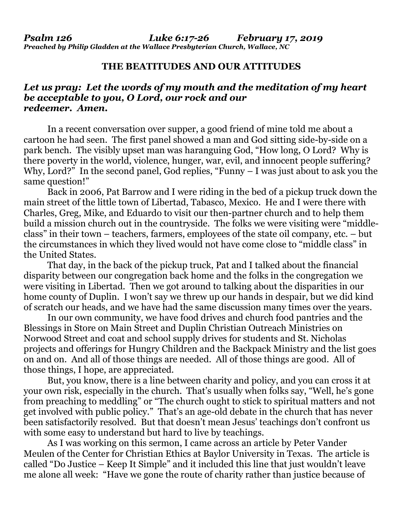## **THE BEATITUDES AND OUR ATTITUDES**

## *Let us pray: Let the words of my mouth and the meditation of my heart be acceptable to you, O Lord, our rock and our redeemer. Amen.*

In a recent conversation over supper, a good friend of mine told me about a cartoon he had seen. The first panel showed a man and God sitting side-by-side on a park bench. The visibly upset man was haranguing God, "How long, O Lord? Why is there poverty in the world, violence, hunger, war, evil, and innocent people suffering? Why, Lord?" In the second panel, God replies, "Funny – I was just about to ask you the same question!"

Back in 2006, Pat Barrow and I were riding in the bed of a pickup truck down the main street of the little town of Libertad, Tabasco, Mexico. He and I were there with Charles, Greg, Mike, and Eduardo to visit our then-partner church and to help them build a mission church out in the countryside. The folks we were visiting were "middleclass" in their town – teachers, farmers, employees of the state oil company, etc. – but the circumstances in which they lived would not have come close to "middle class" in the United States.

That day, in the back of the pickup truck, Pat and I talked about the financial disparity between our congregation back home and the folks in the congregation we were visiting in Libertad. Then we got around to talking about the disparities in our home county of Duplin. I won't say we threw up our hands in despair, but we did kind of scratch our heads, and we have had the same discussion many times over the years.

In our own community, we have food drives and church food pantries and the Blessings in Store on Main Street and Duplin Christian Outreach Ministries on Norwood Street and coat and school supply drives for students and St. Nicholas projects and offerings for Hungry Children and the Backpack Ministry and the list goes on and on. And all of those things are needed. All of those things are good. All of those things, I hope, are appreciated.

But, you know, there is a line between charity and policy, and you can cross it at your own risk, especially in the church. That's usually when folks say, "Well, he's gone from preaching to meddling" or "The church ought to stick to spiritual matters and not get involved with public policy." That's an age-old debate in the church that has never been satisfactorily resolved. But that doesn't mean Jesus' teachings don't confront us with some easy to understand but hard to live by teachings.

As I was working on this sermon, I came across an article by Peter Vander Meulen of the Center for Christian Ethics at Baylor University in Texas. The article is called "Do Justice – Keep It Simple" and it included this line that just wouldn't leave me alone all week: "Have we gone the route of charity rather than justice because of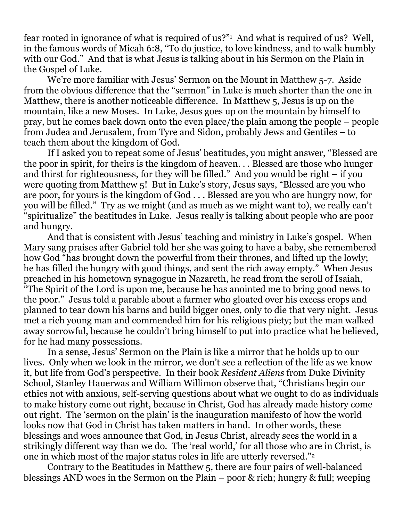fear rooted in ignorance of what is required of us?"<sup>1</sup> And what is required of us? Well, in the famous words of Micah 6:8, "To do justice, to love kindness, and to walk humbly with our God." And that is what Jesus is talking about in his Sermon on the Plain in the Gospel of Luke.

We're more familiar with Jesus' Sermon on the Mount in Matthew 5-7. Aside from the obvious difference that the "sermon" in Luke is much shorter than the one in Matthew, there is another noticeable difference. In Matthew 5, Jesus is up on the mountain, like a new Moses. In Luke, Jesus goes up on the mountain by himself to pray, but he comes back down onto the even place/the plain among the people – people from Judea and Jerusalem, from Tyre and Sidon, probably Jews and Gentiles – to teach them about the kingdom of God.

If I asked you to repeat some of Jesus' beatitudes, you might answer, "Blessed are the poor in spirit, for theirs is the kingdom of heaven. . . Blessed are those who hunger and thirst for righteousness, for they will be filled." And you would be right – if you were quoting from Matthew 5! But in Luke's story, Jesus says, "Blessed are you who are poor, for yours is the kingdom of God . . . Blessed are you who are hungry now, for you will be filled." Try as we might (and as much as we might want to), we really can't "spiritualize" the beatitudes in Luke. Jesus really is talking about people who are poor and hungry.

And that is consistent with Jesus' teaching and ministry in Luke's gospel. When Mary sang praises after Gabriel told her she was going to have a baby, she remembered how God "has brought down the powerful from their thrones, and lifted up the lowly; he has filled the hungry with good things, and sent the rich away empty." When Jesus preached in his hometown synagogue in Nazareth, he read from the scroll of Isaiah, "The Spirit of the Lord is upon me, because he has anointed me to bring good news to the poor." Jesus told a parable about a farmer who gloated over his excess crops and planned to tear down his barns and build bigger ones, only to die that very night. Jesus met a rich young man and commended him for his religious piety; but the man walked away sorrowful, because he couldn't bring himself to put into practice what he believed, for he had many possessions.

In a sense, Jesus' Sermon on the Plain is like a mirror that he holds up to our lives. Only when we look in the mirror, we don't see a reflection of the life as we know it, but life from God's perspective. In their book *Resident Aliens* from Duke Divinity School, Stanley Hauerwas and William Willimon observe that, "Christians begin our ethics not with anxious, self-serving questions about what we ought to do as individuals to make history come out right, because in Christ, God has already made history come out right. The 'sermon on the plain' is the inauguration manifesto of how the world looks now that God in Christ has taken matters in hand. In other words, these blessings and woes announce that God, in Jesus Christ, already sees the world in a strikingly different way than we do. The 'real world,' for all those who are in Christ, is one in which most of the major status roles in life are utterly reversed."<sup>2</sup>

Contrary to the Beatitudes in Matthew 5, there are four pairs of well-balanced blessings AND woes in the Sermon on the Plain – poor & rich; hungry & full; weeping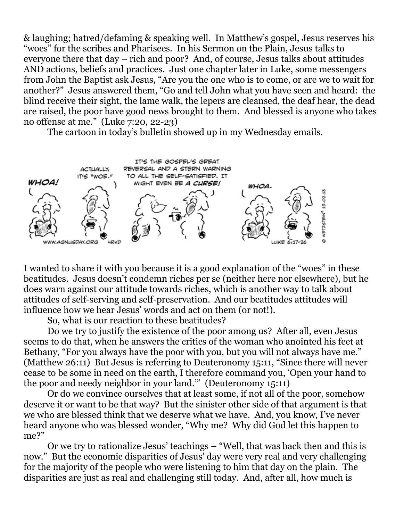& laughing; hatred/defaming & speaking well. In Matthew's gospel, Jesus reserves his "woes" for the scribes and Pharisees. In his Sermon on the Plain, Jesus talks to everyone there that day – rich and poor? And, of course, Jesus talks about attitudes AND actions, beliefs and practices. Just one chapter later in Luke, some messengers from John the Baptist ask Jesus, "Are you the one who is to come, or are we to wait for another?" Jesus answered them, "Go and tell John what you have seen and heard: the blind receive their sight, the lame walk, the lepers are cleansed, the deaf hear, the dead are raised, the poor have good news brought to them. And blessed is anyone who takes no offense at me." (Luke 7:20, 22-23)

The cartoon in today's bulletin showed up in my Wednesday emails.



I wanted to share it with you because it is a good explanation of the "woes" in these beatitudes. Jesus doesn't condemn riches per se (neither here nor elsewhere), but he does warn against our attitude towards riches, which is another way to talk about attitudes of self-serving and self-preservation. And our beatitudes attitudes will influence how we hear Jesus' words and act on them (or not!).

So, what is our reaction to these beatitudes?

Do we try to justify the existence of the poor among us? After all, even Jesus seems to do that, when he answers the critics of the woman who anointed his feet at Bethany, "For you always have the poor with you, but you will not always have me." (Matthew 26:11) But Jesus is referring to Deuteronomy 15:11, "Since there will never cease to be some in need on the earth, I therefore command you, 'Open your hand to the poor and needy neighbor in your land.'" (Deuteronomy 15:11)

Or do we convince ourselves that at least some, if not all of the poor, somehow deserve it or want to be that way? But the sinister other side of that argument is that we who are blessed think that we deserve what we have. And, you know, I've never heard anyone who was blessed wonder, "Why me? Why did God let this happen to me?"

Or we try to rationalize Jesus' teachings – "Well, that was back then and this is now." But the economic disparities of Jesus' day were very real and very challenging for the majority of the people who were listening to him that day on the plain. The disparities are just as real and challenging still today. And, after all, how much is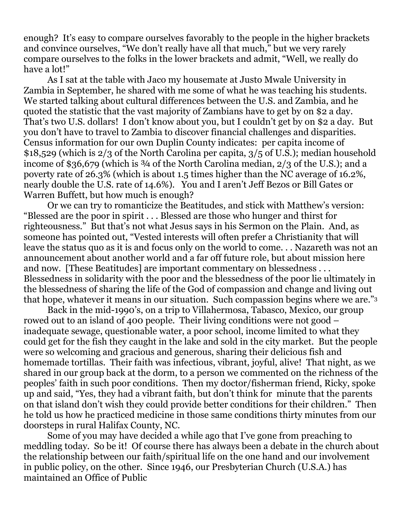enough? It's easy to compare ourselves favorably to the people in the higher brackets and convince ourselves, "We don't really have all that much," but we very rarely compare ourselves to the folks in the lower brackets and admit, "Well, we really do have a lot!"

As I sat at the table with Jaco my housemate at Justo Mwale University in Zambia in September, he shared with me some of what he was teaching his students. We started talking about cultural differences between the U.S. and Zambia, and he quoted the statistic that the vast majority of Zambians have to get by on \$2 a day. That's two U.S. dollars! I don't know about you, but I couldn't get by on \$2 a day. But you don't have to travel to Zambia to discover financial challenges and disparities. Census information for our own Duplin County indicates: per capita income of \$18,529 (which is 2/3 of the North Carolina per capita, 3/5 of U.S.); median household income of \$36,679 (which is  $\frac{3}{4}$  of the North Carolina median, 2/3 of the U.S.); and a poverty rate of 26.3% (which is about 1.5 times higher than the NC average of 16.2%, nearly double the U.S. rate of 14.6%). You and I aren't Jeff Bezos or Bill Gates or Warren Buffett, but how much is enough?

Or we can try to romanticize the Beatitudes, and stick with Matthew's version: "Blessed are the poor in spirit . . . Blessed are those who hunger and thirst for righteousness." But that's not what Jesus says in his Sermon on the Plain. And, as someone has pointed out, "Vested interests will often prefer a Christianity that will leave the status quo as it is and focus only on the world to come. . . Nazareth was not an announcement about another world and a far off future role, but about mission here and now. [These Beatitudes] are important commentary on blessedness . . . Blessedness in solidarity with the poor and the blessedness of the poor lie ultimately in the blessedness of sharing the life of the God of compassion and change and living out that hope, whatever it means in our situation. Such compassion begins where we are."<sup>3</sup>

Back in the mid-1990's, on a trip to Villahermosa, Tabasco, Mexico, our group rowed out to an island of 400 people. Their living conditions were not good – inadequate sewage, questionable water, a poor school, income limited to what they could get for the fish they caught in the lake and sold in the city market. But the people were so welcoming and gracious and generous, sharing their delicious fish and homemade tortillas. Their faith was infectious, vibrant, joyful, alive! That night, as we shared in our group back at the dorm, to a person we commented on the richness of the peoples' faith in such poor conditions. Then my doctor/fisherman friend, Ricky, spoke up and said, "Yes, they had a vibrant faith, but don't think for minute that the parents on that island don't wish they could provide better conditions for their children." Then he told us how he practiced medicine in those same conditions thirty minutes from our doorsteps in rural Halifax County, NC.

Some of you may have decided a while ago that I've gone from preaching to meddling today. So be it! Of course there has always been a debate in the church about the relationship between our faith/spiritual life on the one hand and our involvement in public policy, on the other. Since 1946, our Presbyterian Church (U.S.A.) has maintained an Office of Public